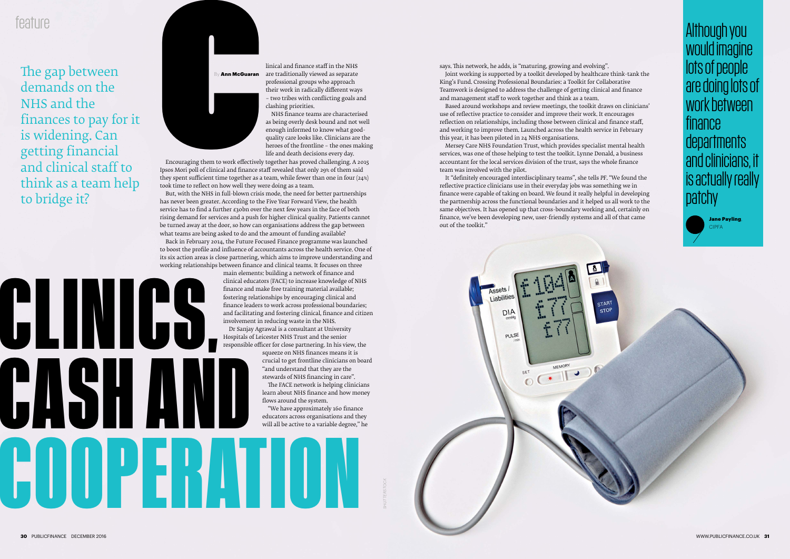**CLINICS,**

**CASH AND** 

**COOPERATION**



**Ann McGuaran** 

The gap between demands on the NHS and the finances to pay for it is widening. Can getting financial and clinical staff to think as a team help to bridge it?

## feature

linical and finance staff in the NHS are traditionally viewed as separate professional groups who approach their work in radically different ways – two tribes with conflicting goals and clashing priorities.

NHS finance teams are characterised as being overly desk bound and not well enough informed to know what goodquality care looks like. Clinicians are the heroes of the frontline – the ones making life and death decisions every day.

Encouraging them to work effectively together has proved challenging. A 2015 Ipsos Mori poll of clinical and finance staff revealed that only 29% of them said they spent sufficient time together as a team, while fewer than one in four (24%) took time to reflect on how well they were doing as a team.

But, with the NHS in full-blown crisis mode, the need for better partnerships has never been greater. According to the Five Year Forward View, the health service has to find a further £30bn over the next few years in the face of both rising demand for services and a push for higher clinical quality. Patients cannot be turned away at the door, so how can organisations address the gap between what teams are being asked to do and the amount of funding available?

Back in February 2014, the Future Focused Finance programme was launched to boost the profile and influence of accountants across the health service. One of its six action areas is close partnering, which aims to improve understanding and working relationships between finance and clinical teams. It focuses on three

main elements: building a network of finance and clinical educators (FACE) to increase knowledge of NHS finance and make free training material available; fostering relationships by encouraging clinical and finance leaders to work across professional boundaries; and facilitating and fostering clinical, finance and citizen involvement in reducing waste in the NHS.

Dr Sanjay Agrawal is a consultant at University Hospitals of Leicester NHS Trust and the senior responsible officer for close partnering. In his view, the

> squeeze on NHS finances means it is crucial to get frontline clinicians on board "and understand that they are the stewards of NHS financing in care". The FACE network is helping clinicians learn about NHS finance and how money flows around the system.

"We have approximately 160 finance educators across organisations and they will all be active to a variable degree," he

*SHUTTERSTOCK*



says. This network, he adds, is "maturing, growing and evolving". Joint working is supported by a toolkit developed by healthcare think-tank the

King's Fund. Crossing Professional Boundaries: a Toolkit for Collaborative Teamwork is designed to address the challenge of getting clinical and finance and management staff to work together and think as a team.

Based around workshops and review meetings, the toolkit draws on clinicians' use of reflective practice to consider and improve their work. It encourages reflection on relationships, including those between clinical and finance staff, and working to improve them. Launched across the health service in February this year, it has been piloted in 24 NHS organisations.

Mersey Care NHS Foundation Trust, which provides specialist mental health services, was one of those helping to test the toolkit. Lynne Donald, a business accountant for the local services division of the trust, says the whole finance team was involved with the pilot.

It "definitely encouraged interdisciplinary teams", she tells *PF*. "We found the reflective practice clinicians use in their everyday jobs was something we in finance were capable of taking on board. We found it really helpful in developing the partnership across the functional boundaries and it helped us all work to the same objectives. It has opened up that cross-boundary working and, certainly on finance, we've been developing new, user-friendly systems and all of that came out of the toolkit."



Although you would imagine lots of people are doing lots of work between finance departments and clinicians, it is actually really patchy



Jane Payling, CIPFA